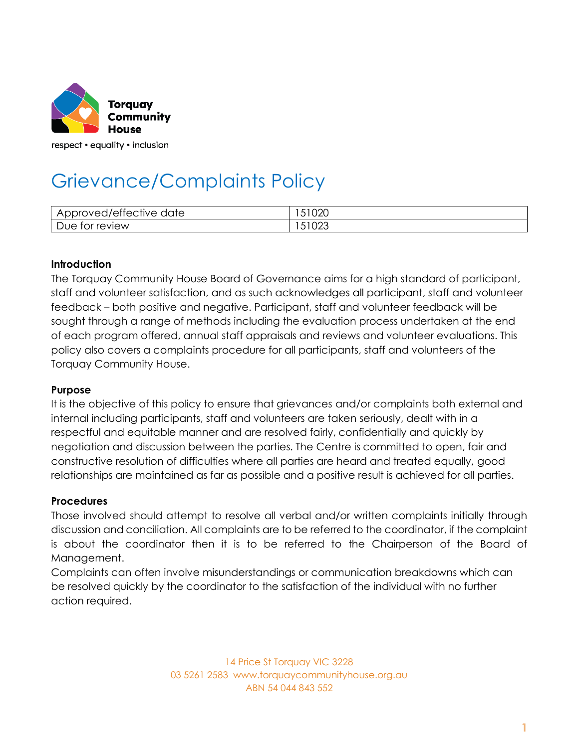

respect • equality • inclusion

# Grievance/Complaints Policy

| $\sim$<br>maxsum<br>date<br>J/ettective<br>11 H G<br>⊾י⊣∨י<br>$\sim$<br>ີ | $\sim$<br>-UZU<br>ັບ I |
|---------------------------------------------------------------------------|------------------------|
| review                                                                    | $\sim$                 |
| Due                                                                       | ' ∪∠∪                  |
| TOL                                                                       | ◡                      |

# **Introduction**

The Torquay Community House Board of Governance aims for a high standard of participant, staff and volunteer satisfaction, and as such acknowledges all participant, staff and volunteer feedback – both positive and negative. Participant, staff and volunteer feedback will be sought through a range of methods including the evaluation process undertaken at the end of each program offered, annual staff appraisals and reviews and volunteer evaluations. This policy also covers a complaints procedure for all participants, staff and volunteers of the Torquay Community House.

### **Purpose**

It is the objective of this policy to ensure that grievances and/or complaints both external and internal including participants, staff and volunteers are taken seriously, dealt with in a respectful and equitable manner and are resolved fairly, confidentially and quickly by negotiation and discussion between the parties. The Centre is committed to open, fair and constructive resolution of difficulties where all parties are heard and treated equally, good relationships are maintained as far as possible and a positive result is achieved for all parties.

#### **Procedures**

Those involved should attempt to resolve all verbal and/or written complaints initially through discussion and conciliation. All complaints are to be referred to the coordinator, if the complaint is about the coordinator then it is to be referred to the Chairperson of the Board of Management.

Complaints can often involve misunderstandings or communication breakdowns which can be resolved quickly by the coordinator to the satisfaction of the individual with no further action required.

> 14 Price St Torquay VIC 3228 03 5261 2583 www.torquaycommunityhouse.org.au ABN 54 044 843 552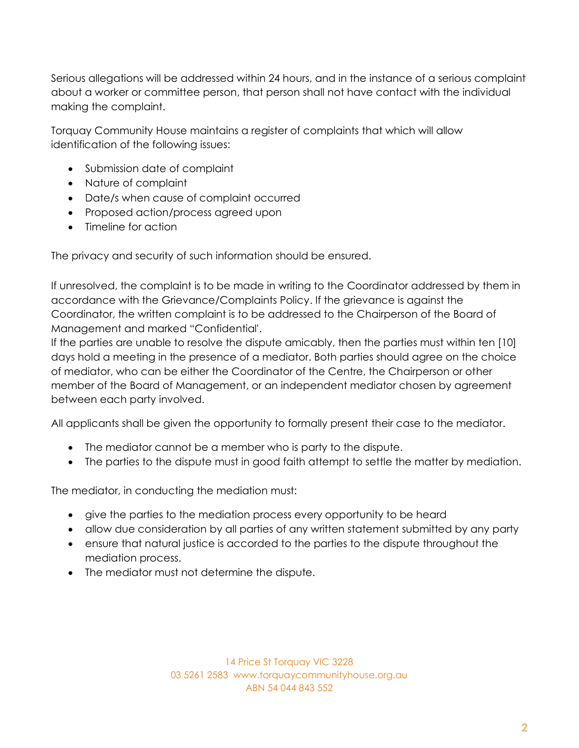Serious allegations will be addressed within 24 hours, and in the instance of a serious complaint about a worker or committee person, that person shall not have contact with the individual making the complaint.

Torquay Community House maintains a register of complaints that which will allow identification of the following issues:

- Submission date of complaint
- Nature of complaint
- Date/s when cause of complaint occurred
- Proposed action/process agreed upon
- Timeline for action

The privacy and security of such information should be ensured.

If unresolved, the complaint is to be made in writing to the Coordinator addressed by them in accordance with the Grievance/Complaints Policy. If the grievance is against the Coordinator, the written complaint is to be addressed to the Chairperson of the Board of Management and marked "Confidential'.

If the parties are unable to resolve the dispute amicably, then the parties must within ten [10] days hold a meeting in the presence of a mediator. Both parties should agree on the choice of mediator, who can be either the Coordinator of the Centre, the Chairperson or other member of the Board of Management, or an independent mediator chosen by agreement between each party involved.

All applicants shall be given the opportunity to formally present their case to the mediator.

- The mediator cannot be a member who is party to the dispute.
- The parties to the dispute must in good faith attempt to settle the matter by mediation.

The mediator, in conducting the mediation must:

- give the parties to the mediation process every opportunity to be heard
- allow due consideration by all parties of any written statement submitted by any party
- ensure that natural justice is accorded to the parties to the dispute throughout the mediation process.
- The mediator must not determine the dispute.

14 Price St Torquay VIC 3228 03 5261 2583 www.torquaycommunityhouse.org.au ABN 54 044 843 552